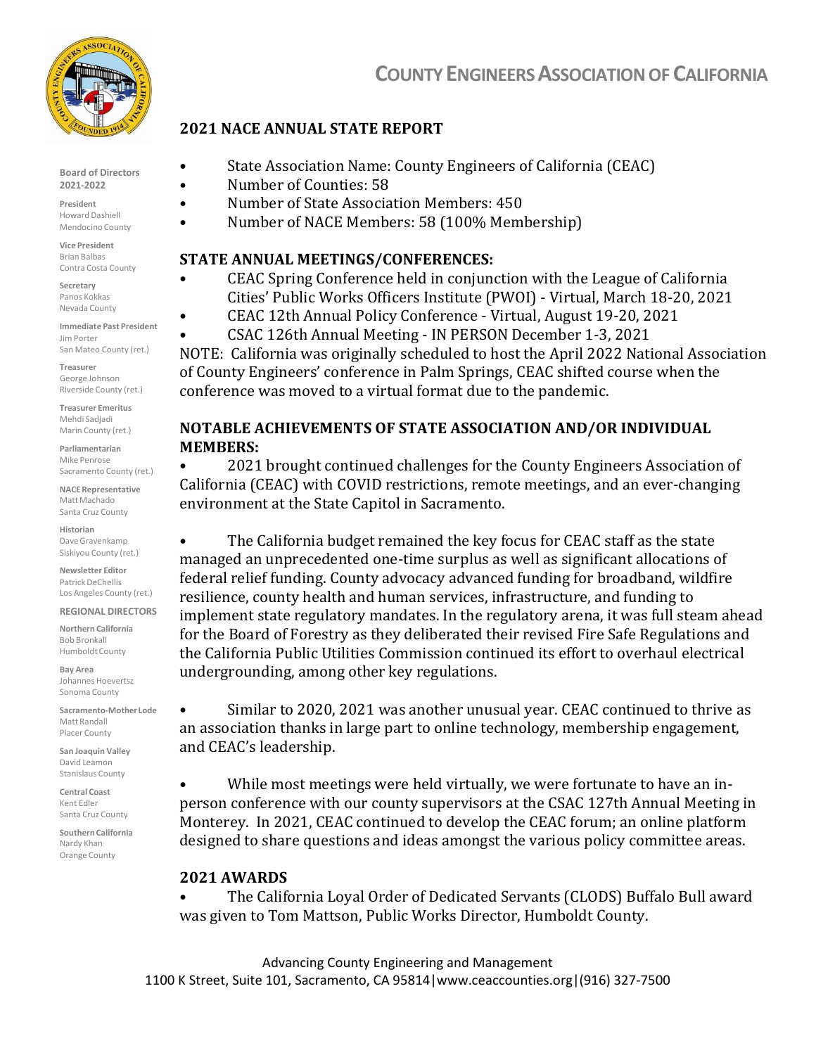

Board of Directors 2021-2022

President Howard Dashiell Mendocino County

Vice President Brian Balbas Contra Costa County

Secretary Panos Kokkas Nevada County

Immediate Past President Jim Porter San Mateo County (ret.)

Treasurer George Johnson Riverside County (ret.)

Treasurer Emeritus Mehdi Sadjadi Marin County (ret.)

Parliamentarian Mike Penrose Sacramento County (ret.)

NACE Representative Matt Machado Santa Cruz County

Historian Dave Gravenkamp Siskiyou County (ret.)

Newsletter Editor Patrick DeChellis Los Angeles County (ret.)

REGIONAL DIRECTORS Northern California Bob Bronkall Humboldt County

Bay Area Johannes Hoevertsz Sonoma County

Sacramento-Mother Lode Matt Randall Placer County

San Joaquin Valley David Leamon Stanislaus County

Central Coast Kent Edler Santa Cruz County

Southern California Nardy Khan Orange County

# COUNTY ENGINEERS ASSOCIATION OF CALIFORNIA

### 2021 NACE ANNUAL STATE REPORT

- State Association Name: County Engineers of California (CEAC)
- Number of Counties: 58
	- Number of State Association Members: 450
- Number of NACE Members: 58 (100% Membership)

#### STATE ANNUAL MEETINGS/CONFERENCES:

- CEAC Spring Conference held in conjunction with the League of California Cities' Public Works Officers Institute (PWOI) ‐ Virtual, March 18‐20, 2021
- CEAC 12th Annual Policy Conference ‐ Virtual, August 19‐20, 2021
- CSAC 126th Annual Meeting IN PERSON December 1-3, 2021

NOTE: California was originally scheduled to host the April 2022 National Association of County Engineers' conference in Palm Springs, CEAC shifted course when the conference was moved to a virtual format due to the pandemic.

### NOTABLE ACHIEVEMENTS OF STATE ASSOCIATION AND/OR INDIVIDUAL MEMBERS:

• 2021 brought continued challenges for the County Engineers Association of California (CEAC) with COVID restrictions, remote meetings, and an ever‐changing environment at the State Capitol in Sacramento.

The California budget remained the key focus for CEAC staff as the state managed an unprecedented one‐time surplus as well as significant allocations of federal relief funding. County advocacy advanced funding for broadband, wildfire resilience, county health and human services, infrastructure, and funding to implement state regulatory mandates. In the regulatory arena, it was full steam ahead for the Board of Forestry as they deliberated their revised Fire Safe Regulations and the California Public Utilities Commission continued its effort to overhaul electrical undergrounding, among other key regulations.

• Similar to 2020, 2021 was another unusual year. CEAC continued to thrive as an association thanks in large part to online technology, membership engagement, and CEAC's leadership.

While most meetings were held virtually, we were fortunate to have an inperson conference with our county supervisors at the CSAC 127th Annual Meeting in Monterey. In 2021, CEAC continued to develop the CEAC forum; an online platform designed to share questions and ideas amongst the various policy committee areas.

#### 2021 AWARDS

• The California Loyal Order of Dedicated Servants (CLODS) Buffalo Bull award was given to Tom Mattson, Public Works Director, Humboldt County.